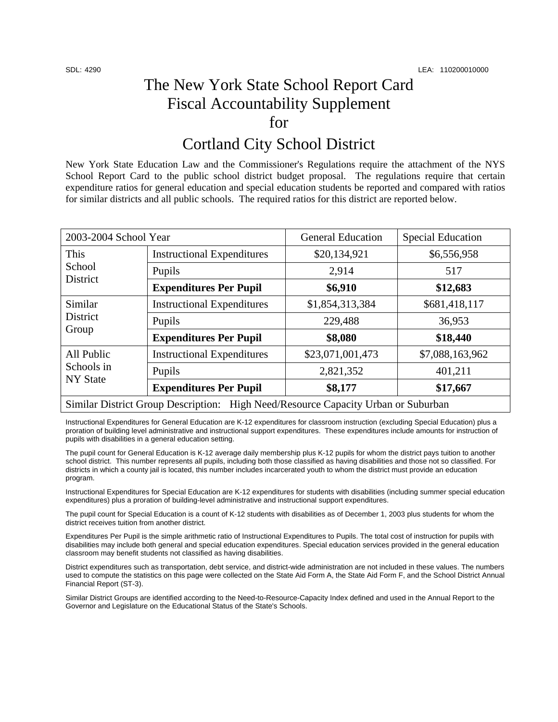# The New York State School Report Card Fiscal Accountability Supplement for

### Cortland City School District

New York State Education Law and the Commissioner's Regulations require the attachment of the NYS School Report Card to the public school district budget proposal. The regulations require that certain expenditure ratios for general education and special education students be reported and compared with ratios for similar districts and all public schools. The required ratios for this district are reported below.

| 2003-2004 School Year                                                             |                                   | <b>General Education</b> | <b>Special Education</b> |  |  |
|-----------------------------------------------------------------------------------|-----------------------------------|--------------------------|--------------------------|--|--|
| This<br>School<br>District                                                        | <b>Instructional Expenditures</b> | \$20,134,921             | \$6,556,958              |  |  |
|                                                                                   | Pupils                            | 2,914                    | 517                      |  |  |
|                                                                                   | <b>Expenditures Per Pupil</b>     | \$6,910                  | \$12,683                 |  |  |
| Similar<br>District<br>Group                                                      | <b>Instructional Expenditures</b> | \$1,854,313,384          | \$681,418,117            |  |  |
|                                                                                   | Pupils                            | 229,488                  | 36,953                   |  |  |
|                                                                                   | <b>Expenditures Per Pupil</b>     | \$8,080                  | \$18,440                 |  |  |
| All Public<br>Schools in<br><b>NY State</b>                                       | <b>Instructional Expenditures</b> | \$23,071,001,473         | \$7,088,163,962          |  |  |
|                                                                                   | Pupils                            | 2,821,352                | 401,211                  |  |  |
|                                                                                   | <b>Expenditures Per Pupil</b>     | \$8,177                  | \$17,667                 |  |  |
| Similar District Group Description: High Need/Resource Capacity Urban or Suburban |                                   |                          |                          |  |  |

Instructional Expenditures for General Education are K-12 expenditures for classroom instruction (excluding Special Education) plus a proration of building level administrative and instructional support expenditures. These expenditures include amounts for instruction of pupils with disabilities in a general education setting.

The pupil count for General Education is K-12 average daily membership plus K-12 pupils for whom the district pays tuition to another school district. This number represents all pupils, including both those classified as having disabilities and those not so classified. For districts in which a county jail is located, this number includes incarcerated youth to whom the district must provide an education program.

Instructional Expenditures for Special Education are K-12 expenditures for students with disabilities (including summer special education expenditures) plus a proration of building-level administrative and instructional support expenditures.

The pupil count for Special Education is a count of K-12 students with disabilities as of December 1, 2003 plus students for whom the district receives tuition from another district.

Expenditures Per Pupil is the simple arithmetic ratio of Instructional Expenditures to Pupils. The total cost of instruction for pupils with disabilities may include both general and special education expenditures. Special education services provided in the general education classroom may benefit students not classified as having disabilities.

District expenditures such as transportation, debt service, and district-wide administration are not included in these values. The numbers used to compute the statistics on this page were collected on the State Aid Form A, the State Aid Form F, and the School District Annual Financial Report (ST-3).

Similar District Groups are identified according to the Need-to-Resource-Capacity Index defined and used in the Annual Report to the Governor and Legislature on the Educational Status of the State's Schools.